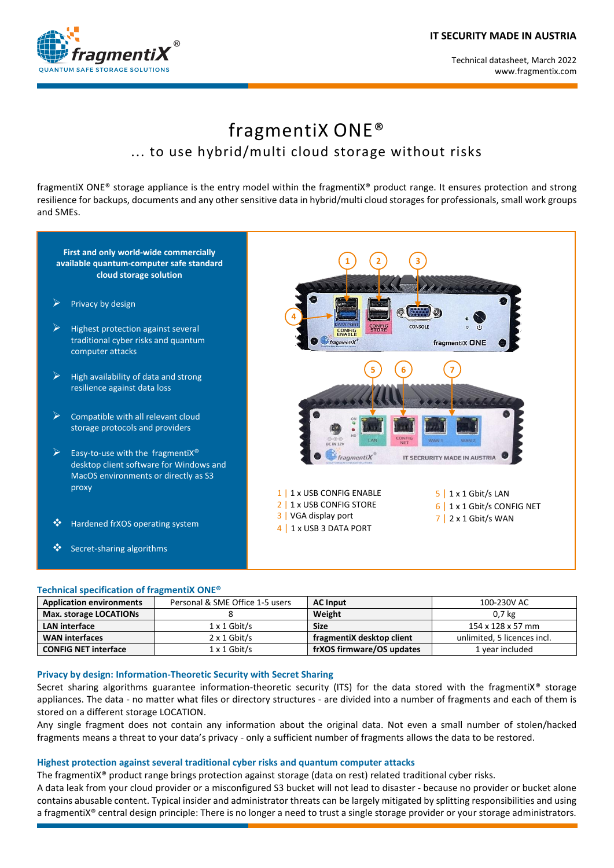

# fragmentiX ONE® ... to use hybrid/multi cloud storage without risks

fragmentiX ONE® storage appliance is the entry model within the fragmentiX® product range. It ensures protection and strong resilience for backups, documents and any other sensitive data in hybrid/multi cloud storages for professionals, small work groups and SMEs.

# **First and only world-wide commercially available quantum-computer safe standard cloud storage solution**

- Privacy by design
- Highest protection against several traditional cyber risks and quantum computer attacks
- $\triangleright$  High availability of data and strong resilience against data loss
- $\triangleright$  Compatible with all relevant cloud storage protocols and providers
- Easy-to-use with the fragmentiX<sup>®</sup> desktop client software for Windows and MacOS environments or directly as S3 proxy
- Hardened frXOS operating system
- ❖ Secret-sharing algorithms

#### **Technical specification of fragmentiX ONE®**

| ÷<br>C<br><b>DATA PORT</b><br><b>CONFIG</b><br>STORE<br><b>CONSOLE</b><br>$\circ$<br>ر اع<br><b>CONFIG</b><br>ENABLE<br>$*$ fragmenti $X^*$<br>fragmentiX ONE                                                  |
|----------------------------------------------------------------------------------------------------------------------------------------------------------------------------------------------------------------|
| 6<br>$\frac{ON}{Q}$<br>Ġ<br>HD<br><b>CONFIG</b><br>$O - C - O$<br>LAN<br>WAN <sub>1</sub><br>WAN <sub>2</sub><br>NET<br><b>DC IN 12V</b><br>IT SECRURITY MADE IN AUSTRIA<br>fragmentiX                         |
| 1 x USB CONFIG ENABLE<br>1 x 1 Gbit/s LAN<br>$\mathbf{1}$<br>5 I<br>1 x USB CONFIG STORE<br>2<br>1 x 1 Gbit/s CONFIG NET<br>6 I<br>VGA display port<br>3<br>$7$   2 x 1 Gbit/s WAN<br>1 x USB 3 DATA PORT<br>4 |

| <b>Application environments</b> | Personal & SME Office 1-5 users | <b>AC Input</b>           | 100-230V AC                 |
|---------------------------------|---------------------------------|---------------------------|-----------------------------|
| Max. storage LOCATIONs          |                                 | Weight                    | 0.7 <sub>kg</sub>           |
| <b>LAN</b> interface            | $1 \times 1$ Gbit/s             | <b>Size</b>               | 154 x 128 x 57 mm           |
| <b>WAN interfaces</b>           | $2 \times 1$ Gbit/s             | fragmentiX desktop client | unlimited. 5 licences incl. |
| <b>CONFIG NET interface</b>     | $1 \times 1$ Gbit/s             | frXOS firmware/OS updates | 1 year included             |

### **Privacy by design: Information-Theoretic Security with Secret Sharing**

Secret sharing algorithms guarantee information-theoretic security (ITS) for the data stored with the fragmentiX<sup>®</sup> storage appliances. The data - no matter what files or directory structures - are divided into a number of fragments and each of them is stored on a different storage LOCATION.

Any single fragment does not contain any information about the original data. Not even a small number of stolen/hacked fragments means a threat to your data's privacy - only a sufficient number of fragments allows the data to be restored.

#### **Highest protection against several traditional cyber risks and quantum computer attacks**

The fragmentiX® product range brings protection against storage (data on rest) related traditional cyber risks.

A data leak from your cloud provider or a misconfigured S3 bucket will not lead to disaster - because no provider or bucket alone contains abusable content. Typical insider and administrator threats can be largely mitigated by splitting responsibilities and using a fragmentiX® central design principle: There is no longer a need to trust a single storage provider or your storage administrators.